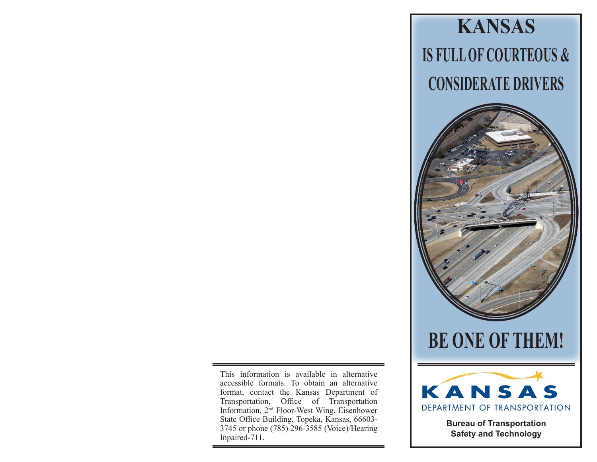This information is available in alternative accessible formats. To obtain an alternative format, contact the Kansas Department of Transportation, Office of Transportation Information, 2nd Floor-West Wing, Eisenhower State Office Building, Topeka, Kansas, 66603- 3745 or phone (785) 296-3585 (Voice)/Hearing Inpaired-711.



**Bureau of Transportation Safety and Technology**

**IS FULL OF COURTEOUS & CONSIDERATE DRIVERS**

**KANSAS**